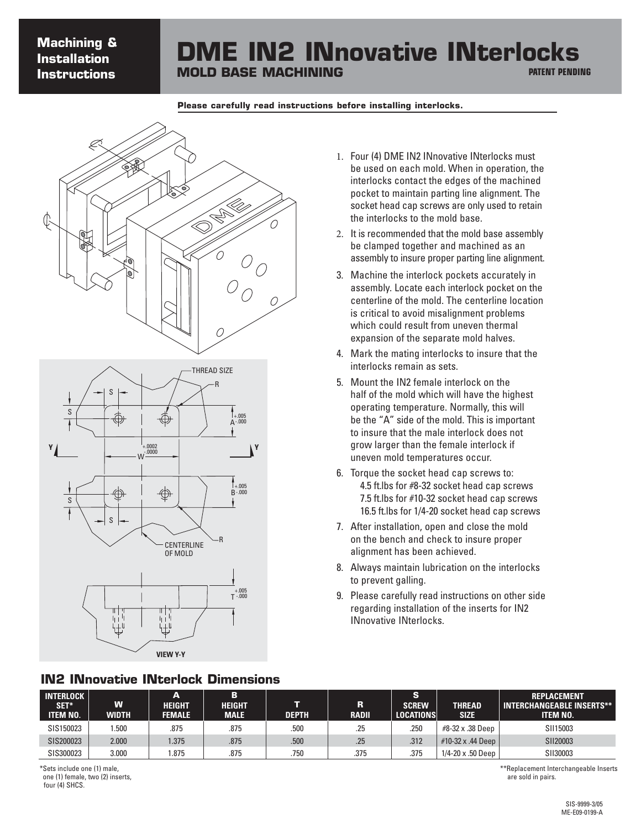# **Machining & Installation Instructions**

### **DME IN2 INnovative INterlocks MOLD BASE MACHINING PATENT PENDING**

#### **Please carefully read instructions before installing interlocks.**



#### **IN2 INnovative INterlock Dimensions**

- 1. Four (4) DME IN2 INnovative INterlocks must be used on each mold. When in operation, the interlocks contact the edges of the machined pocket to maintain parting line alignment. The socket head cap screws are only used to retain the interlocks to the mold base.
- 2. It is recommended that the mold base assembly be clamped together and machined as an assembly to insure proper parting line alignment.
- 3. Machine the interlock pockets accurately in assembly. Locate each interlock pocket on the centerline of the mold. The centerline location is critical to avoid misalignment problems which could result from uneven thermal expansion of the separate mold halves.
- 4. Mark the mating interlocks to insure that the interlocks remain as sets.
- 5. Mount the IN2 female interlock on the half of the mold which will have the highest operating temperature. Normally, this will be the "A" side of the mold. This is important to insure that the male interlock does not grow larger than the female interlock if uneven mold temperatures occur.
- 6. Torque the socket head cap screws to: 4.5 ft.lbs for #8-32 socket head cap screws 7.5 ft.lbs for #10-32 socket head cap screws 16.5 ft.lbs for 1/4-20 socket head cap screws
- 7. After installation, open and close the mold on the bench and check to insure proper alignment has been achieved.
- 8. Always maintain lubrication on the interlocks to prevent galling.
- 9. Please carefully read instructions on other side regarding installation of the inserts for IN2 INnovative INterlocks.

| INTERLOCK  <br>SET*<br><b>TEM NO.</b> | W<br>WIDTH | A<br><b>HEIGHT</b><br><b>FEMALE</b> | в<br><b>HEIGHT</b><br><b>MALE</b> | <b>DEPTH</b> | R<br><b>RADII</b> | <b>S</b><br><b>SCREW</b><br><b>LOCATIONS</b> | THREAD<br><b>SIZE</b> | <b>REPLACEMENT</b><br><b>INTERCHANGEABLE INSERTS**</b><br><b>ITEM NO.</b> |
|---------------------------------------|------------|-------------------------------------|-----------------------------------|--------------|-------------------|----------------------------------------------|-----------------------|---------------------------------------------------------------------------|
| SIS150023                             | .500       | .875                                | .875                              | .500         | .25               | .250                                         | #8-32 x .38 Deep      | SII15003                                                                  |
| SIS200023                             | 2.000      | 1.375                               | .875                              | .500         | .25               | .312                                         | #10-32 x .44 Deep     | SII20003                                                                  |
| SIS300023                             | 3.000      | .875                                | .875                              | .750         | .375              | .375                                         | 1/4-20 x .50 Deep     | SII30003                                                                  |

\*Sets include one (1) male, one (1) female, two (2) inserts, four (4) SHCS.

\*\*Replacement Interchangeable Inserts are sold in pairs.